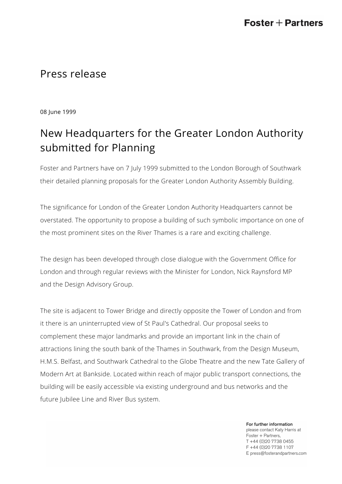## Press release

08 June 1999

# New Headquarters for the Greater London Authority submitted for Planning

Foster and Partners have on 7 July 1999 submitted to the London Borough of Southwark their detailed planning proposals for the Greater London Authority Assembly Building.

The significance for London of the Greater London Authority Headquarters cannot be overstated. The opportunity to propose a building of such symbolic importance on one of the most prominent sites on the River Thames is a rare and exciting challenge.

The design has been developed through close dialogue with the Government Office for London and through regular reviews with the Minister for London, Nick Raynsford MP and the Design Advisory Group.

The site is adjacent to Tower Bridge and directly opposite the Tower of London and from it there is an uninterrupted view of St Paul's Cathedral. Our proposal seeks to complement these major landmarks and provide an important link in the chain of attractions lining the south bank of the Thames in Southwark, from the Design Museum, H.M.S. Belfast, and Southwark Cathedral to the Globe Theatre and the new Tate Gallery of Modern Art at Bankside. Located within reach of major public transport connections, the building will be easily accessible via existing underground and bus networks and the future Jubilee Line and River Bus system.

> For further information please contact Katy Harris at Foster + Partners, T +44 (0)20 7738 0455 F +44 (0)20 7738 1107 E press@fosterandpartners.com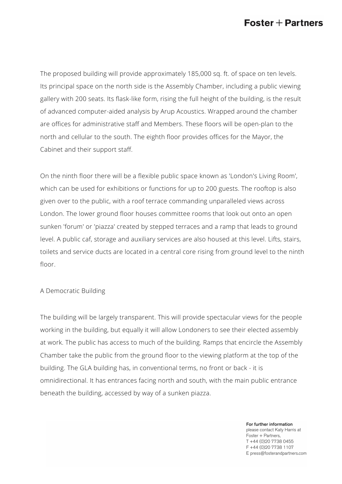## $\textsf{Foster}+\textsf{Partners}$

The proposed building will provide approximately 185,000 sq. ft. of space on ten levels. Its principal space on the north side is the Assembly Chamber, including a public viewing gallery with 200 seats. Its flask-like form, rising the full height of the building, is the result of advanced computer-aided analysis by Arup Acoustics. Wrapped around the chamber are offices for administrative staff and Members. These floors will be open-plan to the north and cellular to the south. The eighth floor provides offices for the Mayor, the Cabinet and their support staff.

On the ninth floor there will be a flexible public space known as 'London's Living Room', which can be used for exhibitions or functions for up to 200 guests. The rooftop is also given over to the public, with a roof terrace commanding unparalleled views across London. The lower ground floor houses committee rooms that look out onto an open sunken 'forum' or 'piazza' created by stepped terraces and a ramp that leads to ground level. A public caf, storage and auxiliary services are also housed at this level. Lifts, stairs, toilets and service ducts are located in a central core rising from ground level to the ninth floor.

#### A Democratic Building

The building will be largely transparent. This will provide spectacular views for the people working in the building, but equally it will allow Londoners to see their elected assembly at work. The public has access to much of the building. Ramps that encircle the Assembly Chamber take the public from the ground floor to the viewing platform at the top of the building. The GLA building has, in conventional terms, no front or back - it is omnidirectional. It has entrances facing north and south, with the main public entrance beneath the building, accessed by way of a sunken piazza.

> For further information please contact Katy Harris at Foster + Partners, T +44 (0)20 7738 0455 F +44 (0)20 7738 1107 E press@fosterandpartners.com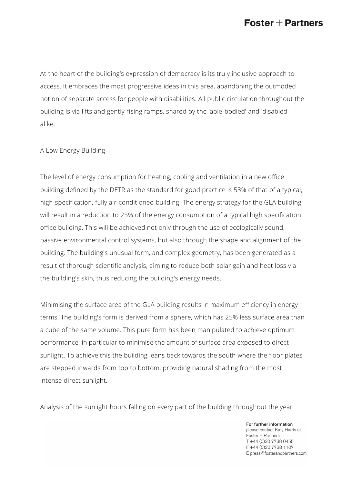## $\textsf{Foster}+\textsf{Partners}$

At the heart of the building's expression of democracy is its truly inclusive approach to access. It embraces the most progressive ideas in this area, abandoning the outmoded notion of separate access for people with disabilities. All public circulation throughout the building is via lifts and gently rising ramps, shared by the 'able-bodied' and 'disabled' alike.

#### A Low Energy Building

The level of energy consumption for heating, cooling and ventilation in a new office building defined by the DETR as the standard for good practice is 53% of that of a typical, high-specification, fully air-conditioned building. The energy strategy for the GLA building will result in a reduction to 25% of the energy consumption of a typical high specification office building. This will be achieved not only through the use of ecologically sound, passive environmental control systems, but also through the shape and alignment of the building. The building's unusual form, and complex geometry, has been generated as a result of thorough scientific analysis, aiming to reduce both solar gain and heat loss via the building's skin, thus reducing the building's energy needs.

Minimising the surface area of the GLA building results in maximum efficiency in energy terms. The building's form is derived from a sphere, which has 25% less surface area than a cube of the same volume. This pure form has been manipulated to achieve optimum performance, in particular to minimise the amount of surface area exposed to direct sunlight. To achieve this the building leans back towards the south where the floor plates are stepped inwards from top to bottom, providing natural shading from the most intense direct sunlight.

Analysis of the sunlight hours falling on every part of the building throughout the year

For further information please contact Katy Harris at Foster + Partners, T +44 (0)20 7738 0455 F +44 (0) 20 7738 1107 E press@fosterandpartners.com